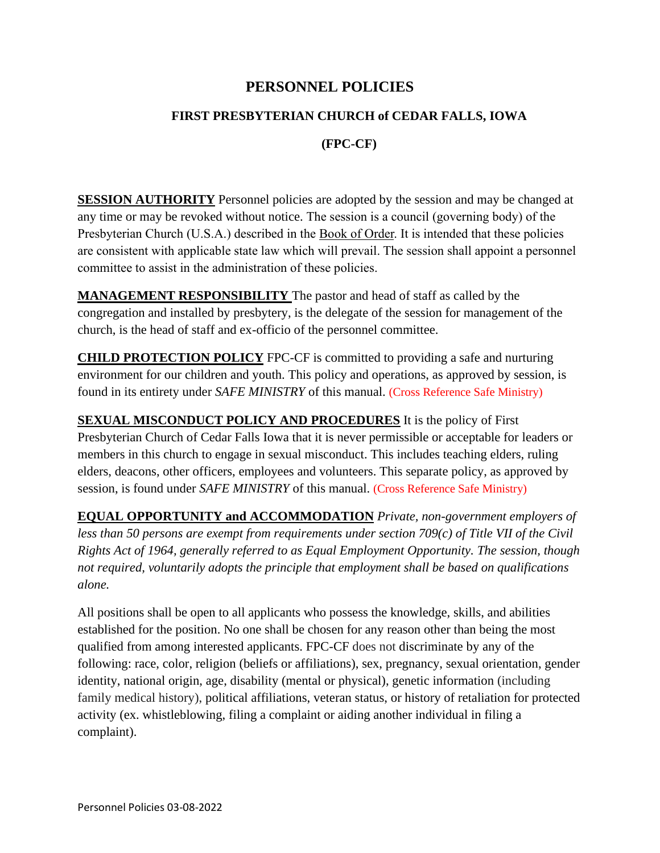# **PERSONNEL POLICIES**

### **FIRST PRESBYTERIAN CHURCH of CEDAR FALLS, IOWA**

### **(FPC-CF)**

**SESSION AUTHORITY** Personnel policies are adopted by the session and may be changed at any time or may be revoked without notice. The session is a council (governing body) of the Presbyterian Church (U.S.A.) described in the Book of Order. It is intended that these policies are consistent with applicable state law which will prevail. The session shall appoint a personnel committee to assist in the administration of these policies.

**MANAGEMENT RESPONSIBILITY** The pastor and head of staff as called by the congregation and installed by presbytery, is the delegate of the session for management of the church, is the head of staff and ex-officio of the personnel committee.

**CHILD PROTECTION POLICY** FPC-CF is committed to providing a safe and nurturing environment for our children and youth. This policy and operations, as approved by session, is found in its entirety under *SAFE MINISTRY* of this manual. (Cross Reference Safe Ministry)

**SEXUAL MISCONDUCT POLICY AND PROCEDURES** It is the policy of First Presbyterian Church of Cedar Falls Iowa that it is never permissible or acceptable for leaders or members in this church to engage in sexual misconduct. This includes teaching elders, ruling elders, deacons, other officers, employees and volunteers. This separate policy, as approved by session, is found under *SAFE MINISTRY* of this manual. (Cross Reference Safe Ministry)

**EQUAL OPPORTUNITY and ACCOMMODATION** *Private, non-government employers of less than 50 persons are exempt from requirements under section 709(c) of Title VII of the Civil Rights Act of 1964, generally referred to as Equal Employment Opportunity. The session, though not required, voluntarily adopts the principle that employment shall be based on qualifications alone.*

All positions shall be open to all applicants who possess the knowledge, skills, and abilities established for the position. No one shall be chosen for any reason other than being the most qualified from among interested applicants. FPC-CF does not discriminate by any of the following: [race,](https://www.eeoc.gov/racecolor-discrimination) [color,](https://www.eeoc.gov/racecolor-discrimination) [religion](https://www.eeoc.gov/religious-discrimination) (beliefs or affiliations), [sex,](https://www.eeoc.gov/sex-based-discrimination) [pregnancy,](https://www.eeoc.gov/pregnancy-discrimination) [sexual orientation, gender](https://www.eeoc.gov/wysk/what-you-should-know-about-eeoc-and-enforcement-protections-lgbt-workers)  [identity,](https://www.eeoc.gov/wysk/what-you-should-know-about-eeoc-and-enforcement-protections-lgbt-workers) [national origin,](https://www.eeoc.gov/national-origin-discrimination) [age,](https://www.eeoc.gov/age-discrimination) [disability](https://www.eeoc.gov/disability-discrimination) (mental or physical), [genetic information](https://www.eeoc.gov/genetic-information-discrimination) (including family medical history), political affiliations, veteran status, or history of retaliation for protected activity (ex. whistleblowing, filing a complaint or aiding another individual in filing a complaint).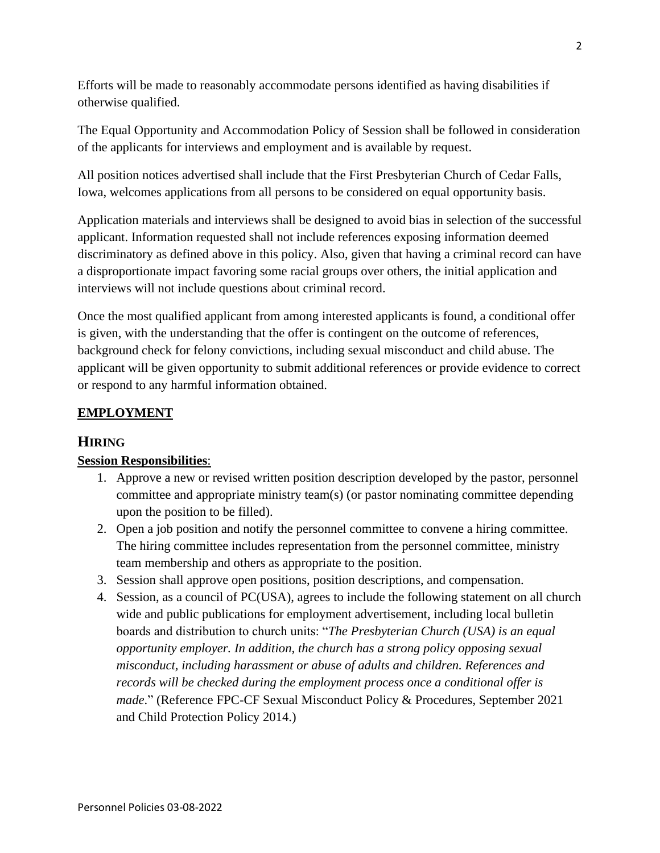Efforts will be made to reasonably accommodate persons identified as having disabilities if otherwise qualified.

The Equal Opportunity and Accommodation Policy of Session shall be followed in consideration of the applicants for interviews and employment and is available by request.

All position notices advertised shall include that the First Presbyterian Church of Cedar Falls, Iowa, welcomes applications from all persons to be considered on equal opportunity basis.

Application materials and interviews shall be designed to avoid bias in selection of the successful applicant. Information requested shall not include references exposing information deemed discriminatory as defined above in this policy. Also, given that having a criminal record can have a disproportionate impact favoring some racial groups over others, the initial application and interviews will not include questions about criminal record.

Once the most qualified applicant from among interested applicants is found, a conditional offer is given, with the understanding that the offer is contingent on the outcome of references, background check for felony convictions, including sexual misconduct and child abuse. The applicant will be given opportunity to submit additional references or provide evidence to correct or respond to any harmful information obtained.

## **EMPLOYMENT**

## **HIRING**

### **Session Responsibilities**:

- 1. Approve a new or revised written position description developed by the pastor, personnel committee and appropriate ministry team(s) (or pastor nominating committee depending upon the position to be filled).
- 2. Open a job position and notify the personnel committee to convene a hiring committee. The hiring committee includes representation from the personnel committee, ministry team membership and others as appropriate to the position.
- 3. Session shall approve open positions, position descriptions, and compensation.
- 4. Session, as a council of PC(USA), agrees to include the following statement on all church wide and public publications for employment advertisement, including local bulletin boards and distribution to church units: "*The Presbyterian Church (USA) is an equal opportunity employer. In addition, the church has a strong policy opposing sexual misconduct, including harassment or abuse of adults and children. References and records will be checked during the employment process once a conditional offer is made*." (Reference FPC-CF Sexual Misconduct Policy & Procedures, September 2021 and Child Protection Policy 2014.)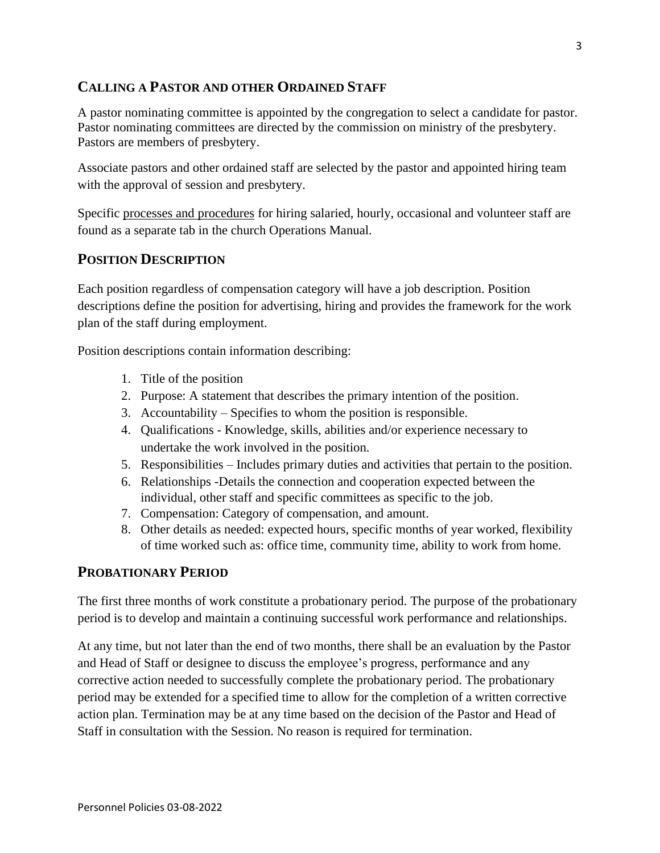### **CALLING A PASTOR AND OTHER ORDAINED STAFF**

A pastor nominating committee is appointed by the congregation to select a candidate for pastor. Pastor nominating committees are directed by the commission on ministry of the presbytery. Pastors are members of presbytery.

Associate pastors and other ordained staff are selected by the pastor and appointed hiring team with the approval of session and presbytery.

Specific processes and procedures for hiring salaried, hourly, occasional and volunteer staff are found as a separate tab in the church Operations Manual.

### **POSITION DESCRIPTION**

Each position regardless of compensation category will have a job description. Position descriptions define the position for advertising, hiring and provides the framework for the work plan of the staff during employment.

Position descriptions contain information describing:

- 1. Title of the position
- 2. Purpose: A statement that describes the primary intention of the position.
- 3. Accountability Specifies to whom the position is responsible.
- 4. Qualifications Knowledge, skills, abilities and/or experience necessary to undertake the work involved in the position.
- 5. Responsibilities Includes primary duties and activities that pertain to the position.
- 6. Relationships -Details the connection and cooperation expected between the individual, other staff and specific committees as specific to the job.
- 7. Compensation: Category of compensation, and amount.
- 8. Other details as needed: expected hours, specific months of year worked, flexibility of time worked such as: office time, community time, ability to work from home.

### **PROBATIONARY PERIOD**

The first three months of work constitute a probationary period. The purpose of the probationary period is to develop and maintain a continuing successful work performance and relationships.

At any time, but not later than the end of two months, there shall be an evaluation by the Pastor and Head of Staff or designee to discuss the employee's progress, performance and any corrective action needed to successfully complete the probationary period. The probationary period may be extended for a specified time to allow for the completion of a written corrective action plan. Termination may be at any time based on the decision of the Pastor and Head of Staff in consultation with the Session. No reason is required for termination.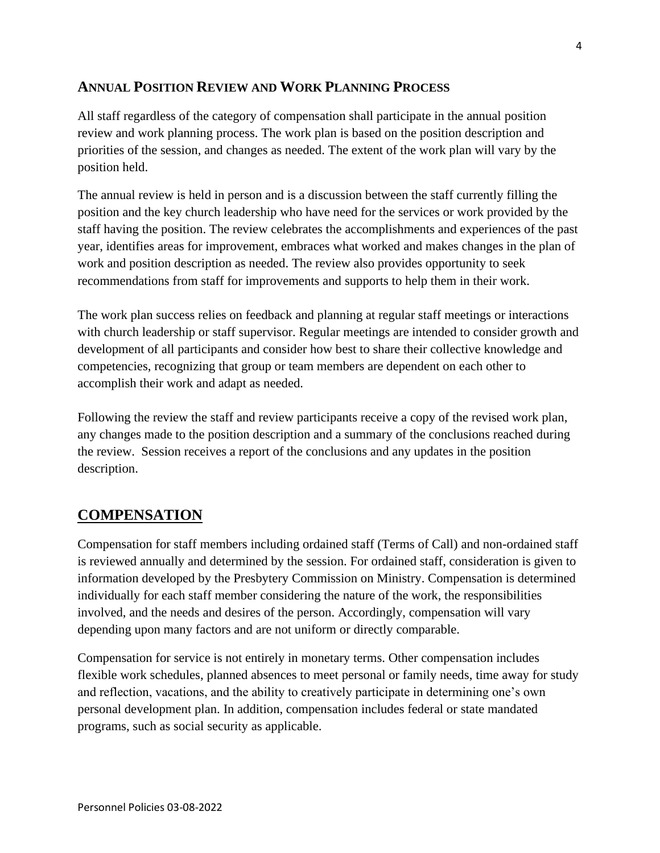## **ANNUAL POSITION REVIEW AND WORK PLANNING PROCESS**

All staff regardless of the category of compensation shall participate in the annual position review and work planning process. The work plan is based on the position description and priorities of the session, and changes as needed. The extent of the work plan will vary by the position held.

The annual review is held in person and is a discussion between the staff currently filling the position and the key church leadership who have need for the services or work provided by the staff having the position. The review celebrates the accomplishments and experiences of the past year, identifies areas for improvement, embraces what worked and makes changes in the plan of work and position description as needed. The review also provides opportunity to seek recommendations from staff for improvements and supports to help them in their work.

The work plan success relies on feedback and planning at regular staff meetings or interactions with church leadership or staff supervisor. Regular meetings are intended to consider growth and development of all participants and consider how best to share their collective knowledge and competencies, recognizing that group or team members are dependent on each other to accomplish their work and adapt as needed.

Following the review the staff and review participants receive a copy of the revised work plan, any changes made to the position description and a summary of the conclusions reached during the review. Session receives a report of the conclusions and any updates in the position description.

## **COMPENSATION**

Compensation for staff members including ordained staff (Terms of Call) and non-ordained staff is reviewed annually and determined by the session. For ordained staff, consideration is given to information developed by the Presbytery Commission on Ministry. Compensation is determined individually for each staff member considering the nature of the work, the responsibilities involved, and the needs and desires of the person. Accordingly, compensation will vary depending upon many factors and are not uniform or directly comparable.

Compensation for service is not entirely in monetary terms. Other compensation includes flexible work schedules, planned absences to meet personal or family needs, time away for study and reflection, vacations, and the ability to creatively participate in determining one's own personal development plan. In addition, compensation includes federal or state mandated programs, such as social security as applicable.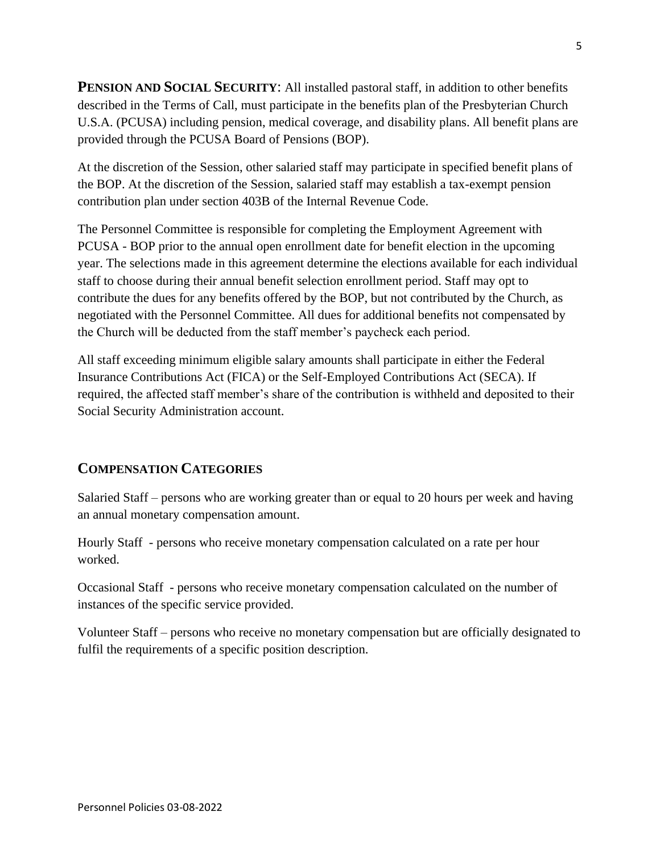**PENSION AND SOCIAL SECURITY**: All installed pastoral staff, in addition to other benefits described in the Terms of Call, must participate in the benefits plan of the Presbyterian Church U.S.A. (PCUSA) including pension, medical coverage, and disability plans. All benefit plans are provided through the PCUSA Board of Pensions (BOP).

At the discretion of the Session, other salaried staff may participate in specified benefit plans of the BOP. At the discretion of the Session, salaried staff may establish a tax-exempt pension contribution plan under section 403B of the Internal Revenue Code.

The Personnel Committee is responsible for completing the Employment Agreement with PCUSA - BOP prior to the annual open enrollment date for benefit election in the upcoming year. The selections made in this agreement determine the elections available for each individual staff to choose during their annual benefit selection enrollment period. Staff may opt to contribute the dues for any benefits offered by the BOP, but not contributed by the Church, as negotiated with the Personnel Committee. All dues for additional benefits not compensated by the Church will be deducted from the staff member's paycheck each period.

All staff exceeding minimum eligible salary amounts shall participate in either the Federal Insurance Contributions Act (FICA) or the Self-Employed Contributions Act (SECA). If required, the affected staff member's share of the contribution is withheld and deposited to their Social Security Administration account.

### **COMPENSATION CATEGORIES**

Salaried Staff – persons who are working greater than or equal to 20 hours per week and having an annual monetary compensation amount.

Hourly Staff - persons who receive monetary compensation calculated on a rate per hour worked.

Occasional Staff - persons who receive monetary compensation calculated on the number of instances of the specific service provided.

Volunteer Staff – persons who receive no monetary compensation but are officially designated to fulfil the requirements of a specific position description.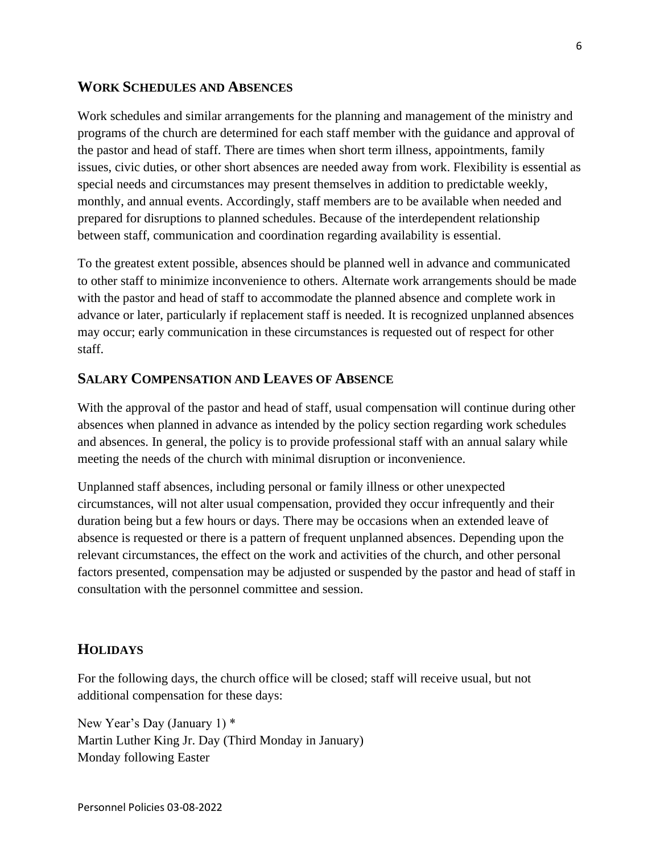#### **WORK SCHEDULES AND ABSENCES**

Work schedules and similar arrangements for the planning and management of the ministry and programs of the church are determined for each staff member with the guidance and approval of the pastor and head of staff. There are times when short term illness, appointments, family issues, civic duties, or other short absences are needed away from work. Flexibility is essential as special needs and circumstances may present themselves in addition to predictable weekly, monthly, and annual events. Accordingly, staff members are to be available when needed and prepared for disruptions to planned schedules. Because of the interdependent relationship between staff, communication and coordination regarding availability is essential.

To the greatest extent possible, absences should be planned well in advance and communicated to other staff to minimize inconvenience to others. Alternate work arrangements should be made with the pastor and head of staff to accommodate the planned absence and complete work in advance or later, particularly if replacement staff is needed. It is recognized unplanned absences may occur; early communication in these circumstances is requested out of respect for other staff.

#### **SALARY COMPENSATION AND LEAVES OF ABSENCE**

With the approval of the pastor and head of staff, usual compensation will continue during other absences when planned in advance as intended by the policy section regarding work schedules and absences. In general, the policy is to provide professional staff with an annual salary while meeting the needs of the church with minimal disruption or inconvenience.

Unplanned staff absences, including personal or family illness or other unexpected circumstances, will not alter usual compensation, provided they occur infrequently and their duration being but a few hours or days. There may be occasions when an extended leave of absence is requested or there is a pattern of frequent unplanned absences. Depending upon the relevant circumstances, the effect on the work and activities of the church, and other personal factors presented, compensation may be adjusted or suspended by the pastor and head of staff in consultation with the personnel committee and session.

#### **HOLIDAYS**

For the following days, the church office will be closed; staff will receive usual, but not additional compensation for these days:

New Year's Day (January 1) \* Martin Luther King Jr. Day (Third Monday in January) Monday following Easter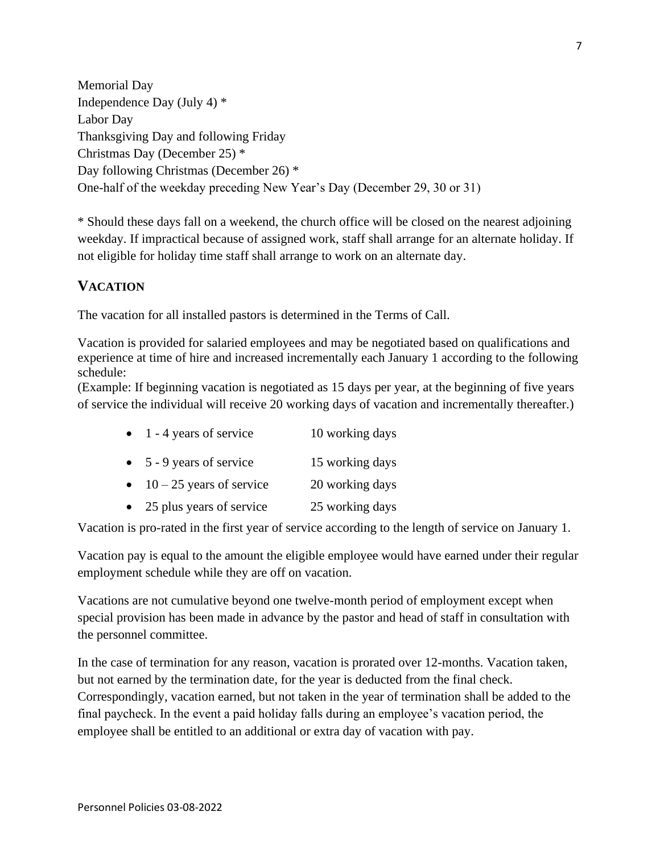Memorial Day Independence Day (July 4) \* Labor Day Thanksgiving Day and following Friday Christmas Day (December 25) \* Day following Christmas (December 26) \* One-half of the weekday preceding New Year's Day (December 29, 30 or 31)

\* Should these days fall on a weekend, the church office will be closed on the nearest adjoining weekday. If impractical because of assigned work, staff shall arrange for an alternate holiday. If not eligible for holiday time staff shall arrange to work on an alternate day.

## **VACATION**

The vacation for all installed pastors is determined in the Terms of Call.

Vacation is provided for salaried employees and may be negotiated based on qualifications and experience at time of hire and increased incrementally each January 1 according to the following schedule:

(Example: If beginning vacation is negotiated as 15 days per year, at the beginning of five years of service the individual will receive 20 working days of vacation and incrementally thereafter.)

| $\bullet$ 1 - 4 years of service | 10 working days |
|----------------------------------|-----------------|
| $\bullet$ 5 - 9 years of service | 15 working days |

- $10 25$  years of service 20 working days
- 25 plus years of service 25 working days

Vacation is pro-rated in the first year of service according to the length of service on January 1.

Vacation pay is equal to the amount the eligible employee would have earned under their regular employment schedule while they are off on vacation.

Vacations are not cumulative beyond one twelve-month period of employment except when special provision has been made in advance by the pastor and head of staff in consultation with the personnel committee.

In the case of termination for any reason, vacation is prorated over 12-months. Vacation taken, but not earned by the termination date, for the year is deducted from the final check. Correspondingly, vacation earned, but not taken in the year of termination shall be added to the final paycheck. In the event a paid holiday falls during an employee's vacation period, the employee shall be entitled to an additional or extra day of vacation with pay.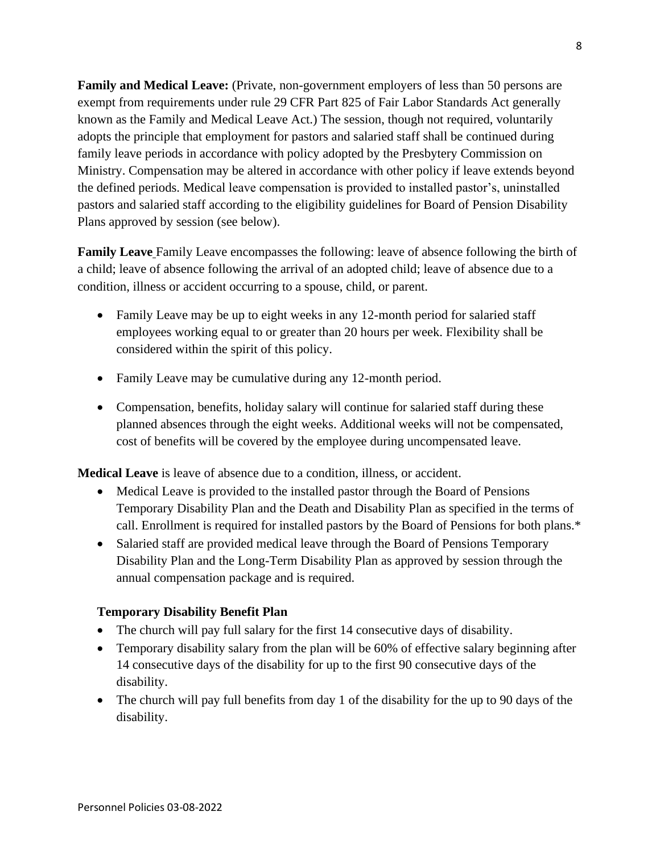**Family and Medical Leave:** (Private, non-government employers of less than 50 persons are exempt from requirements under rule 29 CFR Part 825 of Fair Labor Standards Act generally known as the Family and Medical Leave Act.) The session, though not required, voluntarily adopts the principle that employment for pastors and salaried staff shall be continued during family leave periods in accordance with policy adopted by the Presbytery Commission on Ministry. Compensation may be altered in accordance with other policy if leave extends beyond the defined periods. Medical leave compensation is provided to installed pastor's, uninstalled pastors and salaried staff according to the eligibility guidelines for Board of Pension Disability Plans approved by session (see below).

**Family Leave** Family Leave encompasses the following: leave of absence following the birth of a child; leave of absence following the arrival of an adopted child; leave of absence due to a condition, illness or accident occurring to a spouse, child, or parent.

- Family Leave may be up to eight weeks in any 12-month period for salaried staff employees working equal to or greater than 20 hours per week. Flexibility shall be considered within the spirit of this policy.
- Family Leave may be cumulative during any 12-month period.
- Compensation, benefits, holiday salary will continue for salaried staff during these planned absences through the eight weeks. Additional weeks will not be compensated, cost of benefits will be covered by the employee during uncompensated leave.

**Medical Leave** is leave of absence due to a condition, illness, or accident.

- Medical Leave is provided to the installed pastor through the Board of Pensions Temporary Disability Plan and the Death and Disability Plan as specified in the terms of call. Enrollment is required for installed pastors by the Board of Pensions for both plans.\*
- Salaried staff are provided medical leave through the Board of Pensions Temporary Disability Plan and the Long-Term Disability Plan as approved by session through the annual compensation package and is required.

### **Temporary Disability Benefit Plan**

- The church will pay full salary for the first 14 consecutive days of disability.
- Temporary disability salary from the plan will be 60% of effective salary beginning after 14 consecutive days of the disability for up to the first 90 consecutive days of the disability.
- The church will pay full benefits from day 1 of the disability for the up to 90 days of the disability.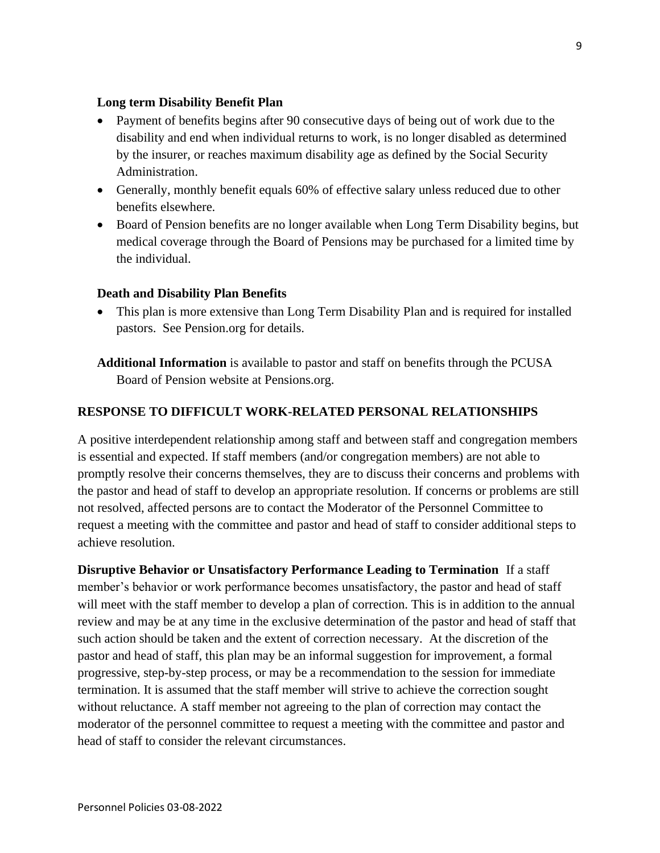#### **Long term Disability Benefit Plan**

- Payment of benefits begins after 90 consecutive days of being out of work due to the disability and end when individual returns to work, is no longer disabled as determined by the insurer, or reaches maximum disability age as defined by the Social Security Administration.
- Generally, monthly benefit equals 60% of effective salary unless reduced due to other benefits elsewhere.
- Board of Pension benefits are no longer available when Long Term Disability begins, but medical coverage through the Board of Pensions may be purchased for a limited time by the individual.

#### **Death and Disability Plan Benefits**

• This plan is more extensive than Long Term Disability Plan and is required for installed pastors. See Pension.org for details.

**Additional Information** is available to pastor and staff on benefits through the PCUSA Board of Pension website at Pensions.org.

### **RESPONSE TO DIFFICULT WORK-RELATED PERSONAL RELATIONSHIPS**

A positive interdependent relationship among staff and between staff and congregation members is essential and expected. If staff members (and/or congregation members) are not able to promptly resolve their concerns themselves, they are to discuss their concerns and problems with the pastor and head of staff to develop an appropriate resolution. If concerns or problems are still not resolved, affected persons are to contact the Moderator of the Personnel Committee to request a meeting with the committee and pastor and head of staff to consider additional steps to achieve resolution.

**Disruptive Behavior or Unsatisfactory Performance Leading to Termination** If a staff member's behavior or work performance becomes unsatisfactory, the pastor and head of staff will meet with the staff member to develop a plan of correction. This is in addition to the annual review and may be at any time in the exclusive determination of the pastor and head of staff that such action should be taken and the extent of correction necessary. At the discretion of the pastor and head of staff, this plan may be an informal suggestion for improvement, a formal progressive, step-by-step process, or may be a recommendation to the session for immediate termination. It is assumed that the staff member will strive to achieve the correction sought without reluctance. A staff member not agreeing to the plan of correction may contact the moderator of the personnel committee to request a meeting with the committee and pastor and head of staff to consider the relevant circumstances.